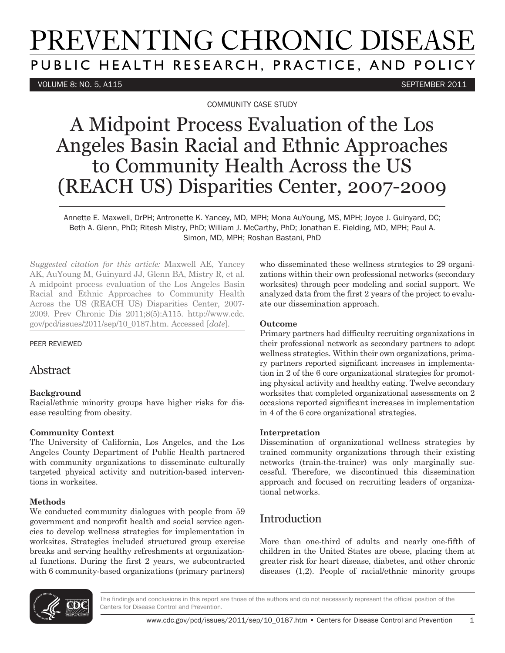# PREVENTING CHRONIC DISEASE PUBLIC HEALTH RESEARCH, PRACTICE, AND POLICY

#### VOLUME 8: NO. 5, A115 SEPTEMBER 2011

COMMUNITY CASE STUDY

## A Midpoint Process Evaluation of the Los Angeles Basin Racial and Ethnic Approaches to Community Health Across the US (REACH US) Disparities Center, 2007-2009

Annette E. Maxwell, DrPH; Antronette K. Yancey, MD, MPH; Mona AuYoung, MS, MPH; Joyce J. Guinyard, DC; Beth A. Glenn, PhD; Ritesh Mistry, PhD; William J. McCarthy, PhD; Jonathan E. Fielding, MD, MPH; Paul A. Simon, MD, MPH; Roshan Bastani, PhD

*Suggested citation for this article:* Maxwell AE, Yancey AK, AuYoung M, Guinyard JJ, Glenn BA, Mistry R, et al. A midpoint process evaluation of the Los Angeles Basin Racial and Ethnic Approaches to Community Health Across the US (REACH US) Disparities Center, 2007- 2009. Prev Chronic Dis 2011;8(5):A115. http://www.cdc. gov/pcd/issues/2011/sep/10\_0187.htm. Accessed [*date*].

PEER REVIEWED

### Abstract

#### **Background**

Racial/ethnic minority groups have higher risks for disease resulting from obesity.

#### **Community Context**

The University of California, Los Angeles, and the Los Angeles County Department of Public Health partnered with community organizations to disseminate culturally targeted physical activity and nutrition-based interventions in worksites.

#### **Methods**

We conducted community dialogues with people from 59 government and nonprofit health and social service agencies to develop wellness strategies for implementation in worksites. Strategies included structured group exercise breaks and serving healthy refreshments at organizational functions. During the first 2 years, we subcontracted with 6 community-based organizations (primary partners)

who disseminated these wellness strategies to 29 organizations within their own professional networks (secondary worksites) through peer modeling and social support. We analyzed data from the first 2 years of the project to evaluate our dissemination approach.

#### **Outcome**

Primary partners had difficulty recruiting organizations in their professional network as secondary partners to adopt wellness strategies. Within their own organizations, primary partners reported significant increases in implementation in 2 of the 6 core organizational strategies for promoting physical activity and healthy eating. Twelve secondary worksites that completed organizational assessments on 2 occasions reported significant increases in implementation in 4 of the 6 core organizational strategies.

#### **Interpretation**

Dissemination of organizational wellness strategies by trained community organizations through their existing networks (train-the-trainer) was only marginally successful. Therefore, we discontinued this dissemination approach and focused on recruiting leaders of organizational networks.

## Introduction

More than one-third of adults and nearly one-fifth of children in the United States are obese, placing them at greater risk for heart disease, diabetes, and other chronic diseases (1,2). People of racial/ethnic minority groups

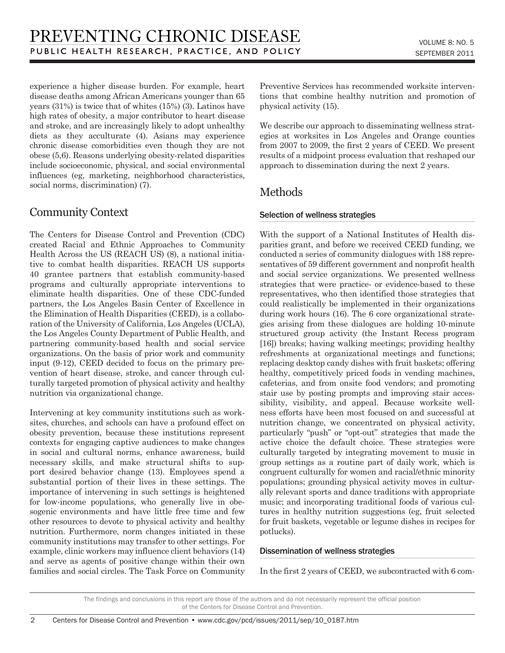experience a higher disease burden. For example, heart disease deaths among African Americans younger than 65 years (31%) is twice that of whites (15%) (3). Latinos have high rates of obesity, a major contributor to heart disease and stroke, and are increasingly likely to adopt unhealthy diets as they acculturate (4). Asians may experience chronic disease comorbidities even though they are not obese (5,6). Reasons underlying obesity-related disparities include socioeconomic, physical, and social environmental influences (eg, marketing, neighborhood characteristics, social norms, discrimination) (7).

## Community Context

 $\mathfrak{D}$ 

The Centers for Disease Control and Prevention (CDC) created Racial and Ethnic Approaches to Community Health Across the US (REACH US) (8), a national initiative to combat health disparities. REACH US supports 40 grantee partners that establish community-based programs and culturally appropriate interventions to eliminate health disparities. One of these CDC-funded partners, the Los Angeles Basin Center of Excellence in the Elimination of Health Disparities (CEED), is a collaboration of the University of California, Los Angeles (UCLA), the Los Angeles County Department of Public Health, and partnering community-based health and social service organizations. On the basis of prior work and community input (9-12), CEED decided to focus on the primary prevention of heart disease, stroke, and cancer through culturally targeted promotion of physical activity and healthy nutrition via organizational change.

Intervening at key community institutions such as worksites, churches, and schools can have a profound effect on obesity prevention, because these institutions represent contexts for engaging captive audiences to make changes in social and cultural norms, enhance awareness, build necessary skills, and make structural shifts to support desired behavior change (13). Employees spend a substantial portion of their lives in these settings. The importance of intervening in such settings is heightened for low-income populations, who generally live in obesogenic environments and have little free time and few other resources to devote to physical activity and healthy nutrition. Furthermore, norm changes initiated in these community institutions may transfer to other settings. For example, clinic workers may influence client behaviors (14) and serve as agents of positive change within their own families and social circles. The Task Force on Community Preventive Services has recommended worksite interventions that combine healthy nutrition and promotion of physical activity (15).

We describe our approach to disseminating wellness strategies at worksites in Los Angeles and Orange counties from 2007 to 2009, the first 2 years of CEED. We present results of a midpoint process evaluation that reshaped our approach to dissemination during the next 2 years.

## Methods

#### Selection of wellness strategies

With the support of a National Institutes of Health disparities grant, and before we received CEED funding, we conducted a series of community dialogues with 188 representatives of 59 different government and nonprofit health and social service organizations. We presented wellness strategies that were practice- or evidence-based to these representatives, who then identified those strategies that could realistically be implemented in their organizations during work hours (16). The 6 core organizational strategies arising from these dialogues are holding 10-minute structured group activity (the Instant Recess program [16]) breaks; having walking meetings; providing healthy refreshments at organizational meetings and functions; replacing desktop candy dishes with fruit baskets; offering healthy, competitively priced foods in vending machines, cafeterias, and from onsite food vendors; and promoting stair use by posting prompts and improving stair accessibility, visibility, and appeal. Because worksite wellness efforts have been most focused on and successful at nutrition change, we concentrated on physical activity, particularly "push" or "opt-out" strategies that made the active choice the default choice. These strategies were culturally targeted by integrating movement to music in group settings as a routine part of daily work, which is congruent culturally for women and racial/ethnic minority populations; grounding physical activity moves in culturally relevant sports and dance traditions with appropriate music; and incorporating traditional foods of various cultures in healthy nutrition suggestions (eg, fruit selected for fruit baskets, vegetable or legume dishes in recipes for potlucks).

#### Dissemination of wellness strategies

In the first 2 years of CEED, we subcontracted with 6 com-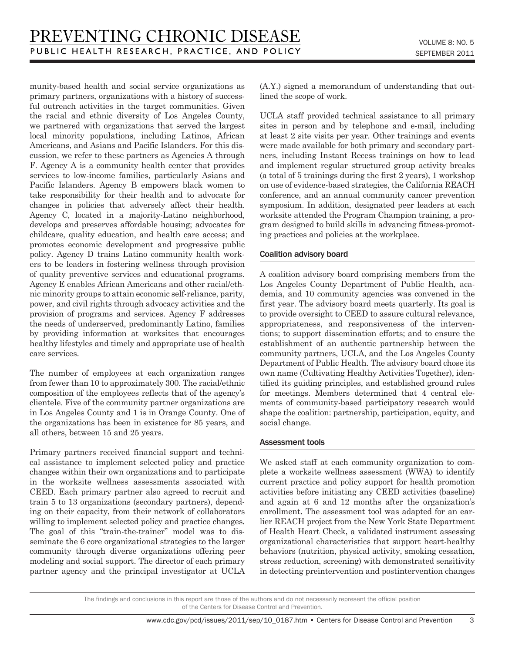munity-based health and social service organizations as primary partners, organizations with a history of successful outreach activities in the target communities. Given the racial and ethnic diversity of Los Angeles County, we partnered with organizations that served the largest local minority populations, including Latinos, African Americans, and Asians and Pacific Islanders. For this discussion, we refer to these partners as Agencies A through F. Agency A is a community health center that provides services to low-income families, particularly Asians and Pacific Islanders. Agency B empowers black women to take responsibility for their health and to advocate for changes in policies that adversely affect their health. Agency C, located in a majority-Latino neighborhood, develops and preserves affordable housing; advocates for childcare, quality education, and health care access; and promotes economic development and progressive public policy. Agency D trains Latino community health workers to be leaders in fostering wellness through provision of quality preventive services and educational programs. Agency E enables African Americans and other racial/ethnic minority groups to attain economic self-reliance, parity, power, and civil rights through advocacy activities and the provision of programs and services. Agency F addresses the needs of underserved, predominantly Latino, families by providing information at worksites that encourages healthy lifestyles and timely and appropriate use of health care services.

The number of employees at each organization ranges from fewer than 10 to approximately 300. The racial/ethnic composition of the employees reflects that of the agency's clientele. Five of the community partner organizations are in Los Angeles County and 1 is in Orange County. One of the organizations has been in existence for 85 years, and all others, between 15 and 25 years.

Primary partners received financial support and technical assistance to implement selected policy and practice changes within their own organizations and to participate in the worksite wellness assessments associated with CEED. Each primary partner also agreed to recruit and train 5 to 13 organizations (secondary partners), depending on their capacity, from their network of collaborators willing to implement selected policy and practice changes. The goal of this "train-the-trainer" model was to disseminate the 6 core organizational strategies to the larger community through diverse organizations offering peer modeling and social support. The director of each primary partner agency and the principal investigator at UCLA (A.Y.) signed a memorandum of understanding that outlined the scope of work.

UCLA staff provided technical assistance to all primary sites in person and by telephone and e-mail, including at least 2 site visits per year. Other trainings and events were made available for both primary and secondary partners, including Instant Recess trainings on how to lead and implement regular structured group activity breaks (a total of 5 trainings during the first 2 years), 1 workshop on use of evidence-based strategies, the California REACH conference, and an annual community cancer prevention symposium. In addition, designated peer leaders at each worksite attended the Program Champion training, a program designed to build skills in advancing fitness-promoting practices and policies at the workplace.

#### Coalition advisory board

A coalition advisory board comprising members from the Los Angeles County Department of Public Health, academia, and 10 community agencies was convened in the first year. The advisory board meets quarterly. Its goal is to provide oversight to CEED to assure cultural relevance, appropriateness, and responsiveness of the interventions; to support dissemination efforts; and to ensure the establishment of an authentic partnership between the community partners, UCLA, and the Los Angeles County Department of Public Health. The advisory board chose its own name (Cultivating Healthy Activities Together), identified its guiding principles, and established ground rules for meetings. Members determined that 4 central elements of community-based participatory research would shape the coalition: partnership, participation, equity, and social change.

#### Assessment tools

We asked staff at each community organization to complete a worksite wellness assessment (WWA) to identify current practice and policy support for health promotion activities before initiating any CEED activities (baseline) and again at 6 and 12 months after the organization's enrollment. The assessment tool was adapted for an earlier REACH project from the New York State Department of Health Heart Check, a validated instrument assessing organizational characteristics that support heart-healthy behaviors (nutrition, physical activity, smoking cessation, stress reduction, screening) with demonstrated sensitivity in detecting preintervention and postintervention changes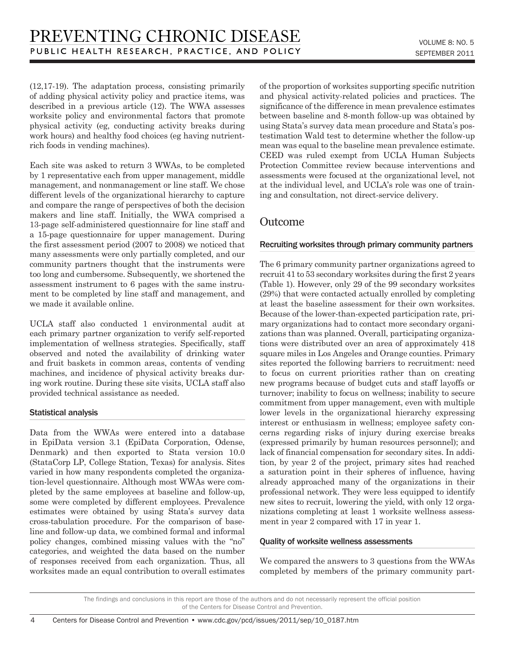(12,17-19). The adaptation process, consisting primarily of adding physical activity policy and practice items, was described in a previous article (12). The WWA assesses worksite policy and environmental factors that promote physical activity (eg, conducting activity breaks during work hours) and healthy food choices (eg having nutrientrich foods in vending machines).

Each site was asked to return 3 WWAs, to be completed by 1 representative each from upper management, middle management, and nonmanagement or line staff. We chose different levels of the organizational hierarchy to capture and compare the range of perspectives of both the decision makers and line staff. Initially, the WWA comprised a 13-page self-administered questionnaire for line staff and a 15-page questionnaire for upper management. During the first assessment period (2007 to 2008) we noticed that many assessments were only partially completed, and our community partners thought that the instruments were too long and cumbersome. Subsequently, we shortened the assessment instrument to 6 pages with the same instrument to be completed by line staff and management, and we made it available online.

UCLA staff also conducted 1 environmental audit at each primary partner organization to verify self-reported implementation of wellness strategies. Specifically, staff observed and noted the availability of drinking water and fruit baskets in common areas, contents of vending machines, and incidence of physical activity breaks during work routine. During these site visits, UCLA staff also provided technical assistance as needed.

#### Statistical analysis

Data from the WWAs were entered into a database in EpiData version 3.1 (EpiData Corporation, Odense, Denmark) and then exported to Stata version 10.0 (StataCorp LP, College Station, Texas) for analysis. Sites varied in how many respondents completed the organization-level questionnaire. Although most WWAs were completed by the same employees at baseline and follow-up, some were completed by different employees. Prevalence estimates were obtained by using Stata's survey data cross-tabulation procedure. For the comparison of baseline and follow-up data, we combined formal and informal policy changes, combined missing values with the "no" categories, and weighted the data based on the number of responses received from each organization. Thus, all worksites made an equal contribution to overall estimates of the proportion of worksites supporting specific nutrition and physical activity-related policies and practices. The significance of the difference in mean prevalence estimates between baseline and 8-month follow-up was obtained by using Stata's survey data mean procedure and Stata's postestimation Wald test to determine whether the follow-up mean was equal to the baseline mean prevalence estimate. CEED was ruled exempt from UCLA Human Subjects Protection Committee review because interventions and assessments were focused at the organizational level, not at the individual level, and UCLA's role was one of training and consultation, not direct-service delivery.

## Outcome

#### Recruiting worksites through primary community partners

The 6 primary community partner organizations agreed to recruit 41 to 53 secondary worksites during the first 2 years (Table 1). However, only 29 of the 99 secondary worksites (29%) that were contacted actually enrolled by completing at least the baseline assessment for their own worksites. Because of the lower-than-expected participation rate, primary organizations had to contact more secondary organizations than was planned. Overall, participating organizations were distributed over an area of approximately 418 square miles in Los Angeles and Orange counties. Primary sites reported the following barriers to recruitment: need to focus on current priorities rather than on creating new programs because of budget cuts and staff layoffs or turnover; inability to focus on wellness; inability to secure commitment from upper management, even with multiple lower levels in the organizational hierarchy expressing interest or enthusiasm in wellness; employee safety concerns regarding risks of injury during exercise breaks (expressed primarily by human resources personnel); and lack of financial compensation for secondary sites. In addition, by year 2 of the project, primary sites had reached a saturation point in their spheres of influence, having already approached many of the organizations in their professional network. They were less equipped to identify new sites to recruit, lowering the yield, with only 12 organizations completing at least 1 worksite wellness assessment in year 2 compared with 17 in year 1.

#### Quality of worksite wellness assessments

We compared the answers to 3 questions from the WWAs completed by members of the primary community part-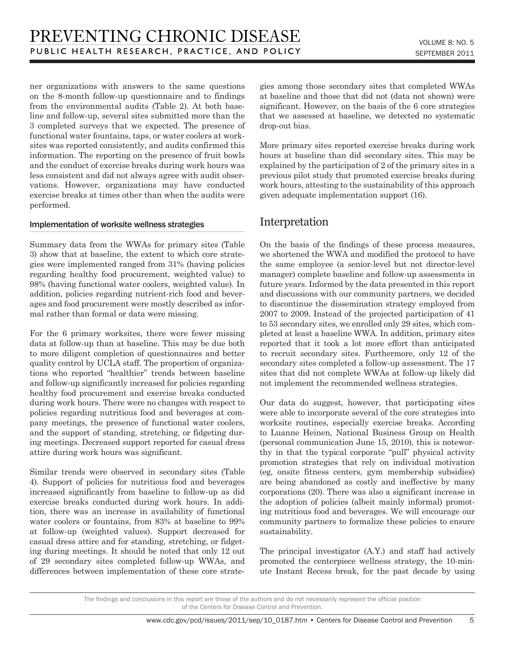ner organizations with answers to the same questions on the 8-month follow-up questionnaire and to findings from the environmental audits (Table 2). At both baseline and follow-up, several sites submitted more than the 3 completed surveys that we expected. The presence of functional water fountains, taps, or water coolers at worksites was reported consistently, and audits confirmed this information. The reporting on the presence of fruit bowls and the conduct of exercise breaks during work hours was less consistent and did not always agree with audit observations. However, organizations may have conducted exercise breaks at times other than when the audits were performed.

#### Implementation of worksite wellness strategies

Summary data from the WWAs for primary sites (Table 3) show that at baseline, the extent to which core strategies were implemented ranged from 31% (having policies regarding healthy food procurement, weighted value) to 98% (having functional water coolers, weighted value). In addition, policies regarding nutrient-rich food and beverages and food procurement were mostly described as informal rather than formal or data were missing.

For the 6 primary worksites, there were fewer missing data at follow-up than at baseline. This may be due both to more diligent completion of questionnaires and better quality control by UCLA staff. The proportion of organizations who reported "healthier" trends between baseline and follow-up significantly increased for policies regarding healthy food procurement and exercise breaks conducted during work hours. There were no changes with respect to policies regarding nutritious food and beverages at company meetings, the presence of functional water coolers, and the support of standing, stretching, or fidgeting during meetings. Decreased support reported for casual dress attire during work hours was significant.

Similar trends were observed in secondary sites (Table 4). Support of policies for nutritious food and beverages increased significantly from baseline to follow-up as did exercise breaks conducted during work hours. In addition, there was an increase in availability of functional water coolers or fountains, from 83% at baseline to 99% at follow-up (weighted values). Support decreased for casual dress attire and for standing, stretching, or fidgeting during meetings. It should be noted that only 12 out of 29 secondary sites completed follow-up WWAs, and differences between implementation of these core strategies among those secondary sites that completed WWAs at baseline and those that did not (data not shown) were significant. However, on the basis of the 6 core strategies that we assessed at baseline, we detected no systematic drop-out bias.

More primary sites reported exercise breaks during work hours at baseline than did secondary sites. This may be explained by the participation of 2 of the primary sites in a previous pilot study that promoted exercise breaks during work hours, attesting to the sustainability of this approach given adequate implementation support (16).

## Interpretation

On the basis of the findings of these process measures, we shortened the WWA and modified the protocol to have the same employee (a senior-level but not director-level manager) complete baseline and follow-up assessments in future years. Informed by the data presented in this report and discussions with our community partners, we decided to discontinue the dissemination strategy employed from 2007 to 2009. Instead of the projected participation of 41 to 53 secondary sites, we enrolled only 29 sites, which completed at least a baseline WWA. In addition, primary sites reported that it took a lot more effort than anticipated to recruit secondary sites. Furthermore, only 12 of the secondary sites completed a follow-up assessment. The 17 sites that did not complete WWAs at follow-up likely did not implement the recommended wellness strategies.

Our data do suggest, however, that participating sites were able to incorporate several of the core strategies into worksite routines, especially exercise breaks. According to Luanne Heinen, National Business Group on Health (personal communication June 15, 2010), this is noteworthy in that the typical corporate "pull" physical activity promotion strategies that rely on individual motivation (eg, onsite fitness centers, gym membership subsidies) are being abandoned as costly and ineffective by many corporations (20). There was also a significant increase in the adoption of policies (albeit mainly informal) promoting nutritious food and beverages. We will encourage our community partners to formalize these policies to ensure sustainability.

The principal investigator (A.Y.) and staff had actively promoted the centerpiece wellness strategy, the 10-minute Instant Recess break, for the past decade by using

#### 5

The findings and conclusions in this report are those of the authors and do not necessarily represent the official position of the Centers for Disease Control and Prevention.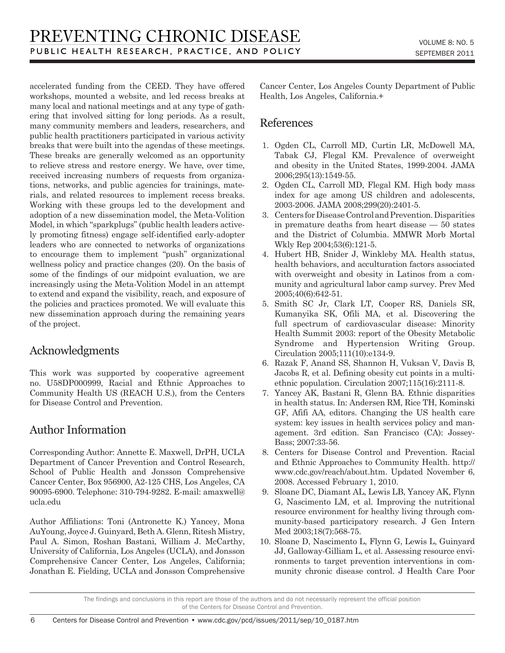accelerated funding from the CEED. They have offered workshops, mounted a website, and led recess breaks at many local and national meetings and at any type of gathering that involved sitting for long periods. As a result, many community members and leaders, researchers, and public health practitioners participated in various activity breaks that were built into the agendas of these meetings. These breaks are generally welcomed as an opportunity to relieve stress and restore energy. We have, over time, received increasing numbers of requests from organizations, networks, and public agencies for trainings, materials, and related resources to implement recess breaks. Working with these groups led to the development and adoption of a new dissemination model, the Meta-Volition Model, in which "sparkplugs" (public health leaders actively promoting fitness) engage self-identified early-adopter leaders who are connected to networks of organizations to encourage them to implement "push" organizational wellness policy and practice changes (20). On the basis of some of the findings of our midpoint evaluation, we are increasingly using the Meta-Volition Model in an attempt to extend and expand the visibility, reach, and exposure of the policies and practices promoted. We will evaluate this new dissemination approach during the remaining years of the project.

## Acknowledgments

This work was supported by cooperative agreement no. U58DP000999, Racial and Ethnic Approaches to Community Health US (REACH U.S.), from the Centers for Disease Control and Prevention.

## Author Information

Corresponding Author: Annette E. Maxwell, DrPH, UCLA Department of Cancer Prevention and Control Research, School of Public Health and Jonsson Comprehensive Cancer Center, Box 956900, A2-125 CHS, Los Angeles, CA 90095-6900. Telephone: 310-794-9282. E-mail: amaxwell@ ucla.edu

Author Affiliations: Toni (Antronette K.) Yancey, Mona AuYoung, Joyce J. Guinyard, Beth A. Glenn, Ritesh Mistry, Paul A. Simon, Roshan Bastani, William J. McCarthy, University of California, Los Angeles (UCLA), and Jonsson Comprehensive Cancer Center, Los Angeles, California; Jonathan E. Fielding, UCLA and Jonsson Comprehensive

Cancer Center, Los Angeles County Department of Public Health, Los Angeles, California.+

## References

- 1. Ogden CL, Carroll MD, Curtin LR, McDowell MA, Tabak CJ, Flegal KM. Prevalence of overweight and obesity in the United States, 1999-2004. JAMA 2006;295(13):1549-55.
- 2. Ogden CL, Carroll MD, Flegal KM. High body mass index for age among US children and adolescents, 2003-2006. JAMA 2008;299(20):2401-5.
- 3. Centers for Disease Control and Prevention. Disparities in premature deaths from heart disease — 50 states and the District of Columbia. MMWR Morb Mortal Wkly Rep 2004;53(6):121-5.
- 4. Hubert HB, Snider J, Winkleby MA. Health status, health behaviors, and acculturation factors associated with overweight and obesity in Latinos from a community and agricultural labor camp survey. Prev Med 2005;40(6):642-51.
- 5. Smith SC Jr, Clark LT, Cooper RS, Daniels SR, Kumanyika SK, Ofili MA, et al. Discovering the full spectrum of cardiovascular disease: Minority Health Summit 2003: report of the Obesity Metabolic Syndrome and Hypertension Writing Group. Circulation 2005;111(10):e134-9.
- 6. Razak F, Anand SS, Shannon H, Vuksan V, Davis B, Jacobs R, et al. Defining obesity cut points in a multiethnic population. Circulation 2007;115(16):2111-8.
- 7. Yancey AK, Bastani R, Glenn BA. Ethnic disparities in health status. In: Andersen RM, Rice TH, Kominski GF, Afifi AA, editors. Changing the US health care system: key issues in health services policy and management. 3rd edition. San Francisco (CA): Jossey-Bass; 2007:33-56.
- 8. Centers for Disease Control and Prevention. Racial and Ethnic Approaches to Community Health. http:// www.cdc.gov/reach/about.htm. Updated November 6, 2008. Accessed February 1, 2010.
- 9. Sloane DC, Diamant AL, Lewis LB, Yancey AK, Flynn G, Nascimento LM, et al. Improving the nutritional resource environment for healthy living through community-based participatory research. J Gen Intern Med 2003;18(7):568-75.
- 10. Sloane D, Nascimento L, Flynn G, Lewis L, Guinyard JJ, Galloway-Gilliam L, et al. Assessing resource environments to target prevention interventions in community chronic disease control. J Health Care Poor

The findings and conclusions in this report are those of the authors and do not necessarily represent the official position of the Centers for Disease Control and Prevention.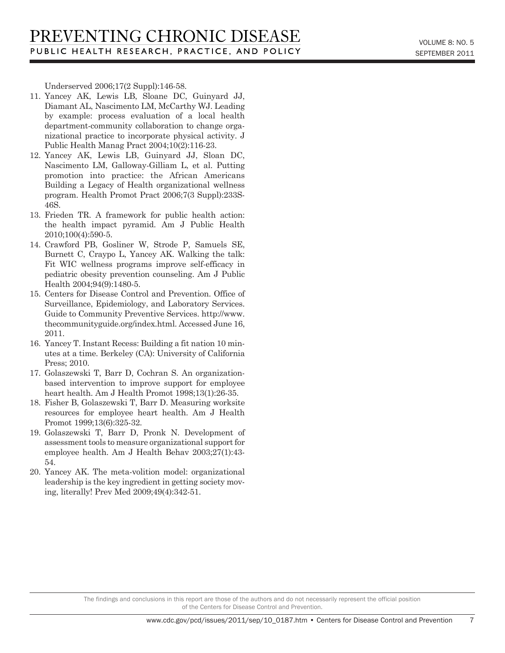$\overline{7}$ 

Underserved 2006;17(2 Suppl):146-58.

- 11. Yancey AK, Lewis LB, Sloane DC, Guinyard JJ, Diamant AL, Nascimento LM, McCarthy WJ. Leading by example: process evaluation of a local health department-community collaboration to change organizational practice to incorporate physical activity. J Public Health Manag Pract 2004;10(2):116-23.
- 12. Yancey AK, Lewis LB, Guinyard JJ, Sloan DC, Nascimento LM, Galloway-Gilliam L, et al. Putting promotion into practice: the African Americans Building a Legacy of Health organizational wellness program. Health Promot Pract 2006;7(3 Suppl):233S-46S.
- 13. Frieden TR. A framework for public health action: the health impact pyramid. Am J Public Health 2010;100(4):590-5.
- 14. Crawford PB, Gosliner W, Strode P, Samuels SE, Burnett C, Craypo L, Yancey AK. Walking the talk: Fit WIC wellness programs improve self-efficacy in pediatric obesity prevention counseling. Am J Public Health 2004;94(9):1480-5.
- 15. Centers for Disease Control and Prevention. Office of Surveillance, Epidemiology, and Laboratory Services. Guide to Community Preventive Services. http://www. thecommunityguide.org/index.html. Accessed June 16, 2011.
- 16. Yancey T. Instant Recess: Building a fit nation 10 minutes at a time. Berkeley (CA): University of California Press; 2010.
- 17. Golaszewski T, Barr D, Cochran S. An organizationbased intervention to improve support for employee heart health. Am J Health Promot 1998;13(1):26-35.
- 18. Fisher B, Golaszewski T, Barr D. Measuring worksite resources for employee heart health. Am J Health Promot 1999;13(6):325-32.
- 19. Golaszewski T, Barr D, Pronk N. Development of assessment tools to measure organizational support for employee health. Am J Health Behav 2003;27(1):43- 54.
- 20. Yancey AK. The meta-volition model: organizational leadership is the key ingredient in getting society moving, literally! Prev Med 2009;49(4):342-51.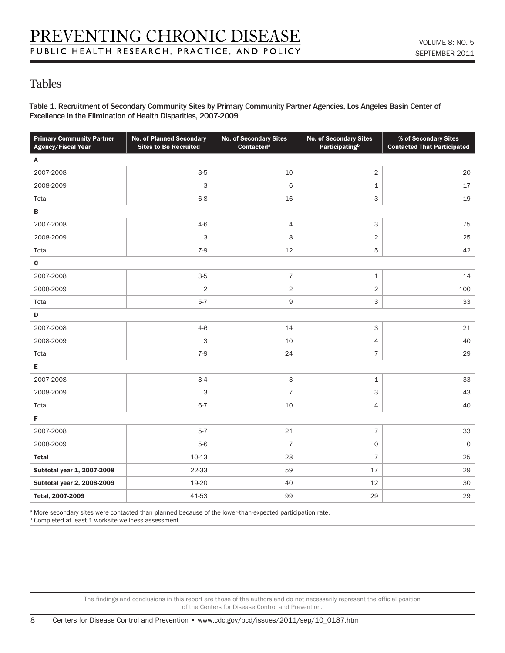## Tables

Table 1. Recruitment of Secondary Community Sites by Primary Community Partner Agencies, Los Angeles Basin Center of Excellence in the Elimination of Health Disparities, 2007-2009

| <b>Primary Community Partner</b><br><b>Agency/Fiscal Year</b> | <b>No. of Planned Secondary</b><br><b>Sites to Be Recruited</b> | <b>No. of Secondary Sites</b><br>Contacted <sup>a</sup> | <b>No. of Secondary Sites</b><br><b>Participating</b> <sup>b</sup> | % of Secondary Sites<br><b>Contacted That Participated</b> |  |  |  |
|---------------------------------------------------------------|-----------------------------------------------------------------|---------------------------------------------------------|--------------------------------------------------------------------|------------------------------------------------------------|--|--|--|
| Α                                                             |                                                                 |                                                         |                                                                    |                                                            |  |  |  |
| 2007-2008                                                     | $3-5$                                                           | 10                                                      | 2                                                                  | 20                                                         |  |  |  |
| 2008-2009                                                     | 3                                                               | 6                                                       | $\mathbf 1$                                                        | 17                                                         |  |  |  |
| Total                                                         | $6 - 8$                                                         | 16                                                      | 3                                                                  | 19                                                         |  |  |  |
| В                                                             |                                                                 |                                                         |                                                                    |                                                            |  |  |  |
| 2007-2008                                                     | $4 - 6$                                                         | $\overline{4}$                                          | 3                                                                  | 75                                                         |  |  |  |
| 2008-2009                                                     | 3                                                               | 8                                                       | $\overline{2}$                                                     | 25                                                         |  |  |  |
| Total                                                         | $7-9$                                                           | 12                                                      | 5                                                                  | 42                                                         |  |  |  |
| $\mathbf c$                                                   |                                                                 |                                                         |                                                                    |                                                            |  |  |  |
| 2007-2008                                                     | $3-5$                                                           | $\overline{7}$                                          | $\mathtt 1$                                                        | 14                                                         |  |  |  |
| 2008-2009                                                     | $\sqrt{2}$                                                      | $\sqrt{2}$                                              | $\overline{2}$                                                     | 100                                                        |  |  |  |
| Total                                                         | $5 - 7$                                                         | 9                                                       | 3                                                                  | 33                                                         |  |  |  |
| D                                                             |                                                                 |                                                         |                                                                    |                                                            |  |  |  |
| 2007-2008                                                     | $4 - 6$                                                         | 14                                                      | 3                                                                  | 21                                                         |  |  |  |
| 2008-2009                                                     | 3                                                               | 10                                                      | 4                                                                  | 40                                                         |  |  |  |
| Total                                                         | $7-9$                                                           | 24                                                      | $\overline{\mathcal{I}}$                                           | 29                                                         |  |  |  |
| Е                                                             |                                                                 |                                                         |                                                                    |                                                            |  |  |  |
| 2007-2008                                                     | $3-4$                                                           | $\mathsf 3$                                             | $\mathbf 1$                                                        | 33                                                         |  |  |  |
| 2008-2009                                                     | $\ensuremath{\mathsf{3}}$                                       | $\overline{7}$                                          | 3                                                                  | 43                                                         |  |  |  |
| Total                                                         | $6 - 7$                                                         | 10                                                      | 4                                                                  | 40                                                         |  |  |  |
| F                                                             |                                                                 |                                                         |                                                                    |                                                            |  |  |  |
| 2007-2008                                                     | $5 - 7$                                                         | 21                                                      | $\overline{\mathcal{I}}$                                           | 33                                                         |  |  |  |
| 2008-2009                                                     | $5-6$                                                           | $\overline{7}$                                          | 0                                                                  | $\mathsf O$                                                |  |  |  |
| <b>Total</b>                                                  | 10-13                                                           | 28                                                      | $\overline{7}$                                                     | 25                                                         |  |  |  |
| Subtotal year 1, 2007-2008                                    | 22-33                                                           | 59                                                      | 17                                                                 | 29                                                         |  |  |  |
| Subtotal year 2, 2008-2009                                    | 19-20                                                           | 40                                                      | 12                                                                 | 30                                                         |  |  |  |
| Total, 2007-2009                                              | 41-53                                                           | 99                                                      | 29                                                                 | 29                                                         |  |  |  |

a More secondary sites were contacted than planned because of the lower-than-expected participation rate.

**b** Completed at least 1 worksite wellness assessment.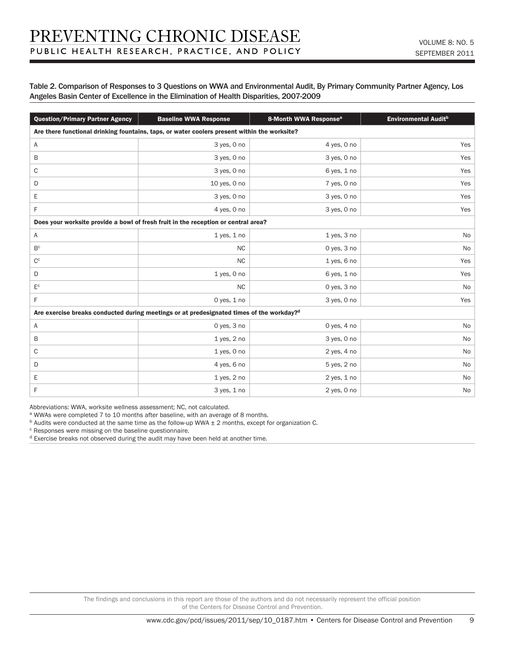#### Table 2. Comparison of Responses to 3 Questions on WWA and Environmental Audit, By Primary Community Partner Agency, Los Angeles Basin Center of Excellence in the Elimination of Health Disparities, 2007-2009

| <b>Question/Primary Partner Agency</b>                                                               | <b>Baseline WWA Response</b> | 8-Month WWA Response <sup>a</sup> | Environmental Audit <sup>b</sup> |  |  |  |
|------------------------------------------------------------------------------------------------------|------------------------------|-----------------------------------|----------------------------------|--|--|--|
| Are there functional drinking fountains, taps, or water coolers present within the worksite?         |                              |                                   |                                  |  |  |  |
| Α                                                                                                    | 3 yes, 0 no                  | 4 yes, 0 no                       | Yes                              |  |  |  |
| B                                                                                                    | 3 yes, 0 no                  | 3 yes, 0 no                       | Yes                              |  |  |  |
| C                                                                                                    | 3 yes, 0 no                  | 6 yes, 1 no                       | Yes                              |  |  |  |
| D                                                                                                    | 10 yes, 0 no                 | 7 yes, 0 no                       | Yes                              |  |  |  |
| Ε                                                                                                    | 3 yes, 0 no                  | 3 yes, 0 no                       | Yes                              |  |  |  |
| F                                                                                                    | 4 yes, 0 no                  | 3 yes, 0 no                       | Yes                              |  |  |  |
| Does your worksite provide a bowl of fresh fruit in the reception or central area?                   |                              |                                   |                                  |  |  |  |
| Α                                                                                                    | $1$ yes, $1$ no              | 1 yes, 3 no                       | No                               |  |  |  |
| B <sup>c</sup>                                                                                       | NC                           | 0 yes, 3 no                       | No                               |  |  |  |
| $C^c$                                                                                                | <b>NC</b>                    | $1$ yes, 6 no                     | Yes                              |  |  |  |
| D                                                                                                    | $1$ yes, $0$ no              | 6 yes, 1 no                       | Yes                              |  |  |  |
| $\mathsf{E}^\mathsf{c}$                                                                              | NC                           | 0 yes, 3 no                       | No                               |  |  |  |
| F                                                                                                    | 0 yes, 1 no                  | 3 yes, 0 no                       | Yes                              |  |  |  |
| Are exercise breaks conducted during meetings or at predesignated times of the workday? <sup>d</sup> |                              |                                   |                                  |  |  |  |
| Α                                                                                                    | 0 yes, 3 no                  | 0 yes, $4$ no                     | No                               |  |  |  |
| B                                                                                                    | $1$ yes, $2$ no              | 3 yes, 0 no                       | No                               |  |  |  |
| C                                                                                                    | $1$ yes, $0$ no              | 2 yes, 4 no                       | No                               |  |  |  |
| D                                                                                                    | 4 yes, 6 no                  | 5 yes, 2 no                       | No                               |  |  |  |
| Ε                                                                                                    | $1$ yes, $2$ no              | 2 yes, 1 no                       | No                               |  |  |  |
| F                                                                                                    | 3 yes, 1 no                  | $2$ yes, $0$ no                   | No                               |  |  |  |

Abbreviations: WWA, worksite wellness assessment; NC, not calculated.

a WWAs were completed 7 to 10 months after baseline, with an average of 8 months.

 $b$  Audits were conducted at the same time as the follow-up WWA  $\pm$  2 months, except for organization C.

c Responses were missing on the baseline questionnaire.

d Exercise breaks not observed during the audit may have been held at another time.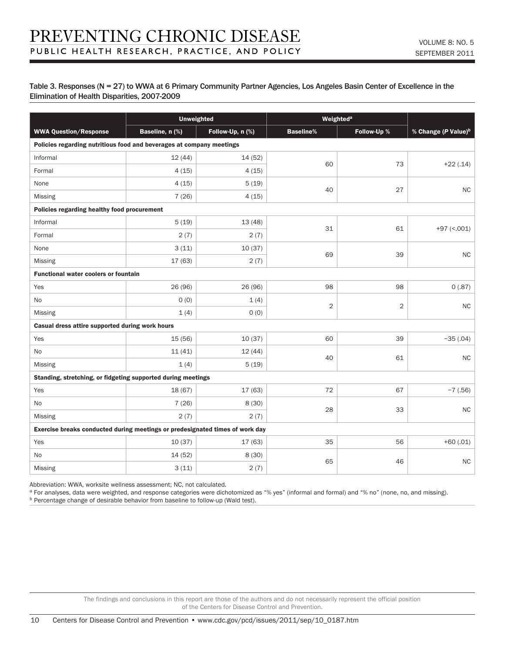#### Table 3. Responses (N = 27) to WWA at 6 Primary Community Partner Agencies, Los Angeles Basin Center of Excellence in the Elimination of Health Disparities, 2007-2009

|                                                                              | <b>Unweighted</b> |                  | Weighted <sup>a</sup> |                |                                 |  |
|------------------------------------------------------------------------------|-------------------|------------------|-----------------------|----------------|---------------------------------|--|
| <b>WWA Question/Response</b>                                                 | Baseline, n (%)   | Follow-Up, n (%) | <b>Baseline%</b>      | Follow-Up %    | % Change (P Value) <sup>b</sup> |  |
| Policies regarding nutritious food and beverages at company meetings         |                   |                  |                       |                |                                 |  |
| Informal                                                                     | 12(44)            | 14 (52)          | 60                    | 73             | $+22(.14)$                      |  |
| Formal                                                                       | 4(15)             | 4(15)            |                       |                |                                 |  |
| None                                                                         | 4(15)             | 5(19)            | 40                    | 27             | NC                              |  |
| Missing                                                                      | 7(26)             | 4(15)            |                       |                |                                 |  |
| Policies regarding healthy food procurement                                  |                   |                  |                       |                |                                 |  |
| Informal                                                                     | 5(19)             | 13 (48)          | 31                    | 61             | $+97$ (<.001)                   |  |
| Formal                                                                       | 2(7)              | 2(7)             |                       |                |                                 |  |
| None                                                                         | 3(11)             | 10(37)           | 69                    | 39             | NC.                             |  |
| Missing                                                                      | 17 (63)           | 2(7)             |                       |                |                                 |  |
| <b>Functional water coolers or fountain</b>                                  |                   |                  |                       |                |                                 |  |
| Yes                                                                          | 26 (96)           | 26 (96)          | 98                    | 98             | 0(.87)                          |  |
| No                                                                           | O(0)              | 1(4)             | 2                     | $\overline{2}$ | NC.                             |  |
| Missing                                                                      | 1(4)              | 0(0)             |                       |                |                                 |  |
| Casual dress attire supported during work hours                              |                   |                  |                       |                |                                 |  |
| Yes                                                                          | 15 (56)           | 10(37)           | 60                    | 39             | $-35(.04)$                      |  |
| No                                                                           | 11(41)            | 12(44)           | 40                    | 61             | NC                              |  |
| Missing                                                                      | 1(4)              | 5(19)            |                       |                |                                 |  |
| Standing, stretching, or fidgeting supported during meetings                 |                   |                  |                       |                |                                 |  |
| Yes                                                                          | 18 (67)           | 17 (63)          | 72                    | 67             | $-7(.56)$                       |  |
| No                                                                           | 7(26)             | 8(30)            | 28                    | 33             | <b>NC</b>                       |  |
| Missing                                                                      | 2(7)              | 2(7)             |                       |                |                                 |  |
| Exercise breaks conducted during meetings or predesignated times of work day |                   |                  |                       |                |                                 |  |
| Yes                                                                          | 10(37)            | 17(63)           | 35                    | 56             | $+60(.01)$                      |  |
| <b>No</b>                                                                    | 14 (52)           | 8(30)            | 65                    | 46             | ${\sf NC}$                      |  |
| Missing                                                                      | 3(11)             | 2(7)             |                       |                |                                 |  |

Abbreviation: WWA, worksite wellness assessment; NC, not calculated.

a For analyses, data were weighted, and response categories were dichotomized as "% yes" (informal and formal) and "% no" (none, no, and missing).

b Percentage change of desirable behavior from baseline to follow-up (Wald test).